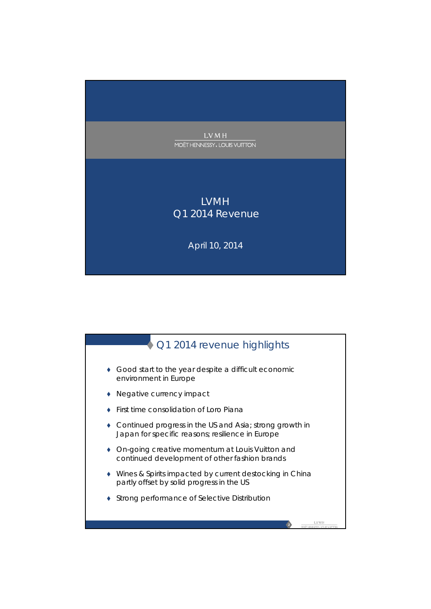

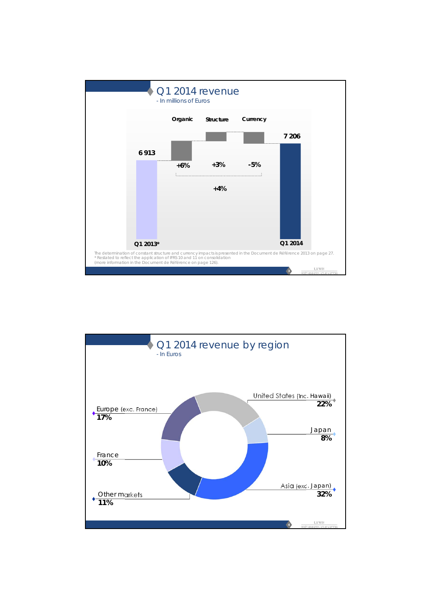

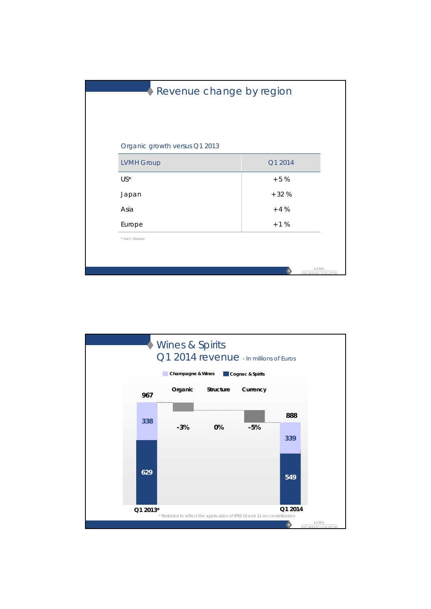|                               | Revenue change by region                   |
|-------------------------------|--------------------------------------------|
|                               |                                            |
|                               |                                            |
|                               |                                            |
| Organic growth versus Q1 2013 |                                            |
| <b>LVMH Group</b>             | Q1 2014                                    |
| $US^*$                        | $+5%$                                      |
| Japan                         | $+32%$                                     |
| Asia                          | $+4%$                                      |
| Europe                        | $+1%$                                      |
| * excl. Hawaii                |                                            |
|                               |                                            |
|                               | <b>LVMH</b><br>MOET HENNESSY, LOUIS VUITTO |

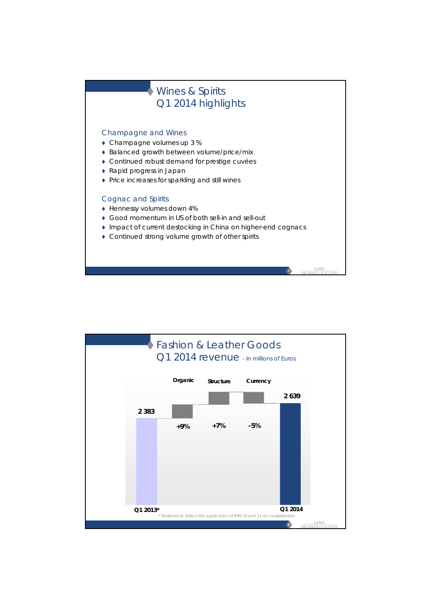

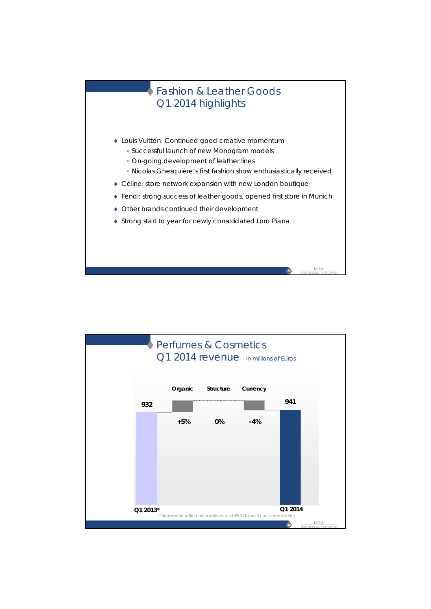## Fashion & Leather Goods Q1 2014 highlights

- Louis Vuitton: Continued good creative momentum
	- Successful launch of new *Monogram* models
	- On-going development of leather lines
	- Nicolas Ghesquière's first fashion show enthusiastically received

**9**

LVM1

- Céline: store network expansion with new London boutique
- Fendi: strong success of leather goods, opened first store in Munich
- Other brands continued their development
- ◆ Strong start to year for newly consolidated Loro Piana

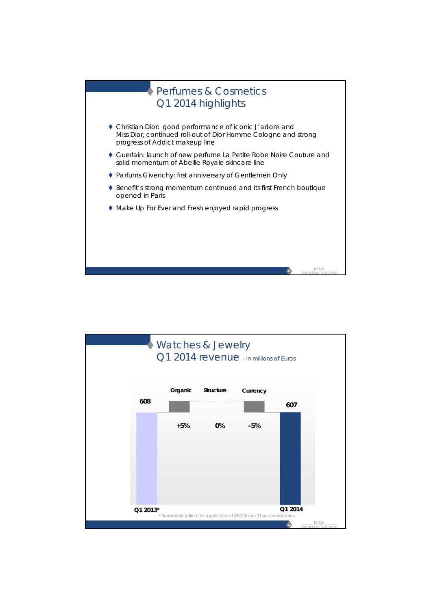

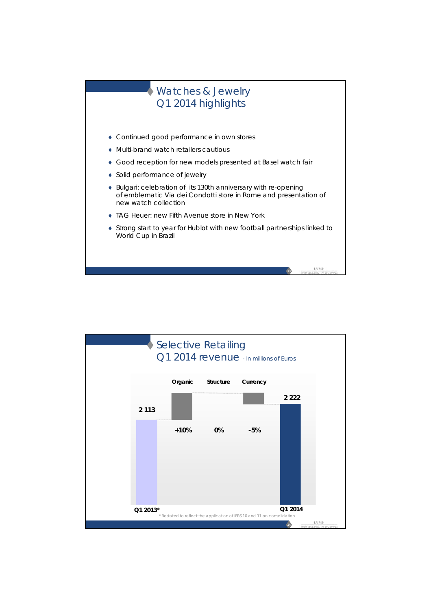